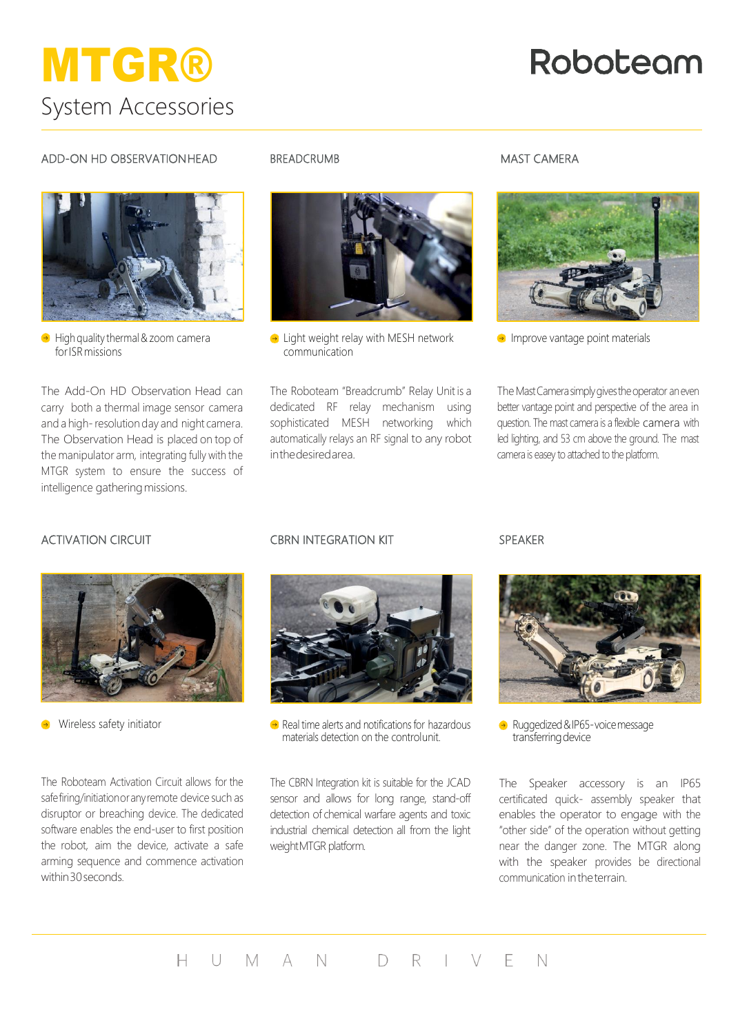## Roboteam

# **MTGR®** System Accessories

## ADD-ON HD OBSERVATION HEAD BREADCRUMB MAST CAMERA



**→** High quality thermal & zoom camera for ISR missions

The Add-On HD Observation Head can carry both a thermal image sensor camera and a high-resolution day and night camera. The Observation Head is placed on top of the manipulator arm, integrating fully with the MTGR system to ensure the success of intelligence gathering missions.



**→** Light weight relay with MESH network communication

The Roboteam "Breadcrumb" Relay Unit is a dedicated RF relay mechanism using sophisticated MESH networking which automatically relays an RF signal to any robot inthedesiredarea.



 $\Theta$  Improve vantage point materials

The Mast Camera simply gives the operator an even better vantage point and perspective of the area in question. The mast camera is a flexible camera with led lighting, and 53 cm above the ground. The mast camera is easey to attached to the platform.



**◆** Wireless safety initiator

The Roboteam Activation Circuit allows for the safefiring/initiationoranyremote device such as disruptor or breaching device. The dedicated software enables the end-user to first position the robot, aim the device, activate a safe arming sequence and commence activation within30seconds.

## ACTIVATION CIRCUIT **CBRN INTEGRATION KIT** SPEAKER



 $\rightarrow$  Real time alerts and notifications for hazardous materials detection on the controlunit.

The CBRN Integration kit is suitable for the JCAD sensor and allows for long range, stand-off detection of chemical warfare agents and toxic industrial chemical detection all from the light weightMTGR platform.



Ruggedized & IP65-voice message transferring device

The Speaker accessory is an IP65 certificated quick- assembly speaker that enables the operator to engage with the "other side" of the operation without getting near the danger zone. The MTGR along with the speaker provides be directional communication intheterrain.